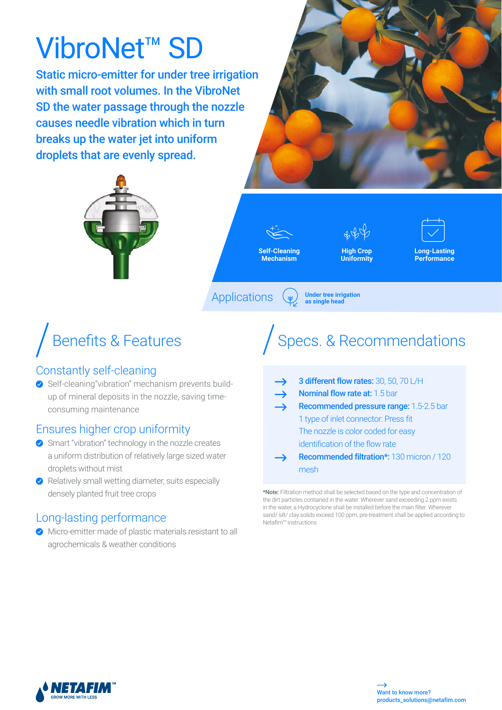# VibroNet™ SD

Static micro-emitter for under tree irrigation with small root volumes. In the VibroNet SD the water passage through the nozzle causes needle vibration which in turn breaks up the water jet into uniform droplets that are evenly spread.





**Self-Cleaning Mechanism**

**High Crop** 

**Uniformity**

**Under tree irrigation**<br>as single head



**Applications** 

# Benefits & Features

## Constantly self-cleaning

◆ Self-cleaning"vibration" mechanism prevents buildup of mineral deposits in the nozzle, saving timeconsuming maintenance

## Ensures higher crop uniformity

- ◆ Smart "vibration" technology in the nozzle creates a uniform distribution of relatively large sized water droplets without mist
- $\blacktriangleright$  Relatively small wetting diameter, suits especially densely planted fruit tree crops

## Long-lasting performance

Micro-emitter made of plastic materials resistant to all agrochemicals & weather conditions

# Specs. & Recommendations

|               | 3 different flow rates: 30, 50, 70 L/H           |
|---------------|--------------------------------------------------|
| $\rightarrow$ | <b>Nominal flow rate at: 1.5 bar</b>             |
| →             | Recommended pressure range: 1.5-2.5 bar          |
|               | 1 type of inlet connector: Press fit             |
|               | The nozzle is color coded for easy               |
|               | identification of the flow rate                  |
|               | <b>Recommended filtration*: 130 micron / 120</b> |
|               |                                                  |

\*Note: Filtration method shall be selected based on the type and concentration of the dirt particles contained in the water. Wherever sand exceeding 2 ppm exists in the water, a Hydrocyclone shall be installed before the main filter. Wherever sand/ silt/ clay solids exceed 100 ppm, pre-treatment shall be applied according to Netafim™ instructions